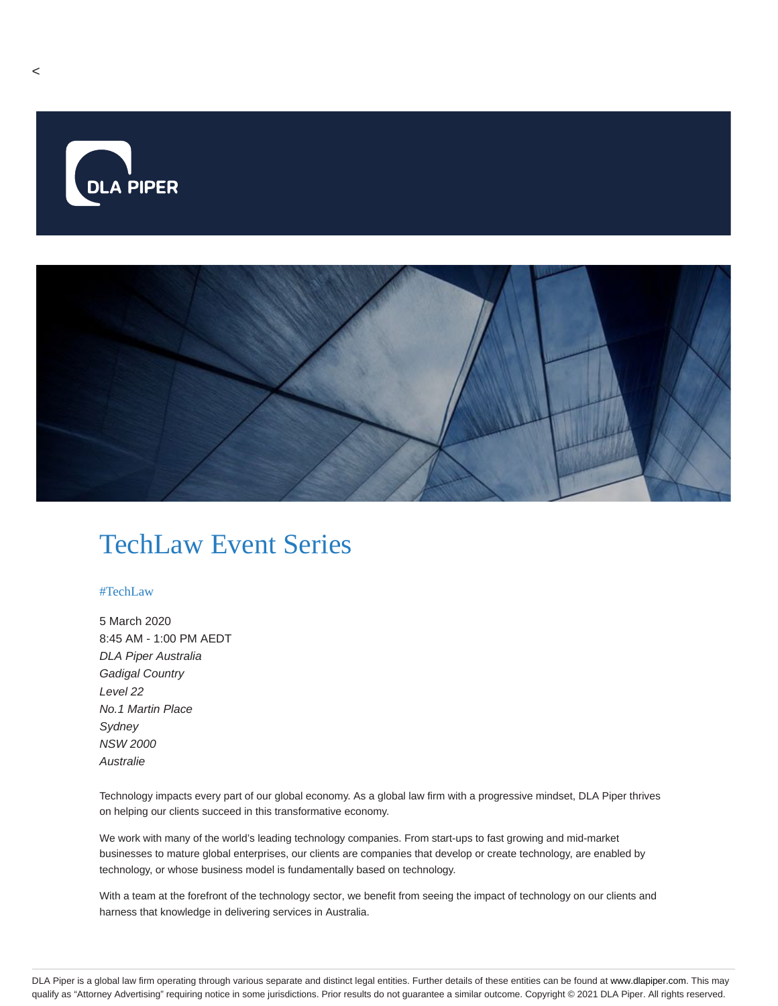

## TechLaw Event Series

## #TechLaw

5 March 2020 8:45 AM - 1:00 PM AEDT DLA Piper Australia Gadigal Country Level 22 No.1 Martin Place **Sydney** NSW 2000 **Australie** 

Technology impacts every part of our global economy. As a global law firm with a progressive mindset, DLA Piper thrives on helping our clients succeed in this transformative economy.

We work with many of the world's leading technology companies. From start-ups to fast growing and mid-market businesses to mature global enterprises, our clients are companies that develop or create technology, are enabled by technology, or whose business model is fundamentally based on technology.

With a team at the forefront of the technology sector, we benefit from seeing the impact of technology on our clients and harness that knowledge in delivering services in Australia.